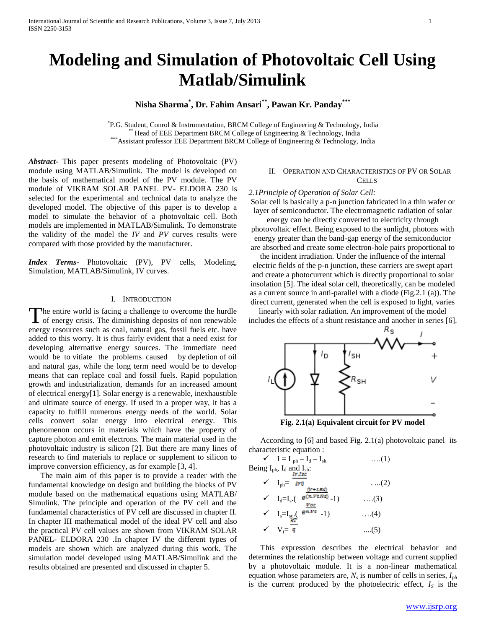# **Modeling and Simulation of Photovoltaic Cell Using Matlab/Simulink**

# **Nisha Sharma\* , Dr. Fahim Ansari\*\*, Pawan Kr. Panday\*\*\***

\* P.G. Student, Conrol & Instrumentation, BRCM College of Engineering & Technology, India Head of EEE Department BRCM College of Engineering & Technology, India \*\*\*Assistant professor EEE Department BRCM College of Engineering & Technology, India

*Abstract***-** This paper presents modeling of Photovoltaic (PV) module using MATLAB/Simulink. The model is developed on the basis of mathematical model of the PV module. The PV module of VIKRAM SOLAR PANEL PV- ELDORA 230 is selected for the experimental and technical data to analyze the developed model. The objective of this paper is to develop a model to simulate the behavior of a photovoltaic cell. Both models are implemented in MATLAB/Simulink. To demonstrate the validity of the model the *IV* and *PV* curves results were compared with those provided by the manufacturer.

*Index Terms*- Photovoltaic (PV), PV cells, Modeling, Simulation, MATLAB/Simulink, IV curves.

## I. INTRODUCTION

The entire world is facing a challenge to overcome the hurdle The entire world is facing a challenge to overcome the hurdle<br>of energy crisis. The diminishing deposits of non renewable energy resources such as coal, natural gas, fossil fuels etc. have added to this worry. It is thus fairly evident that a need exist for developing alternative energy sources. The immediate need would be to vitiate the problems caused by depletion of oil and natural gas, while the long term need would be to develop means that can replace coal and fossil fuels. Rapid population growth and industrialization, demands for an increased amount of electrical energy[1]. Solar energy is a renewable, inexhaustible and ultimate source of energy. If used in a proper way, it has a capacity to fulfill numerous energy needs of the world. Solar cells convert solar energy into electrical energy. This phenomenon occurs in materials which have the property of capture photon and emit electrons. The main material used in the photovoltaic industry is silicon [2]. But there are many lines of research to find materials to replace or supplement to silicon to improve conversion efficiency, as for example [3, 4].

 The main aim of this paper is to provide a reader with the fundamental knowledge on design and building the blocks of PV module based on the mathematical equations using MATLAB/ Simulink. The principle and operation of the PV cell and the fundamental characteristics of PV cell are discussed in chapter II. In chapter III mathematical model of the ideal PV cell and also the practical PV cell values are shown from VIKRAM SOLAR PANEL- ELDORA 230 .In chapter IV the different types of models are shown which are analyzed during this work. The simulation model developed using MATLAB/Simulink and the results obtained are presented and discussed in chapter 5.

# II. OPERATION AND CHARACTERISTICS OF PV OR SOLAR **CELLS**

*2.1Principle of Operation of Solar Cell:*

Solar cell is basically a p-n junction fabricated in a thin wafer or layer of semiconductor. The electromagnetic radiation of solar

energy can be directly converted to electricity through photovoltaic effect. Being exposed to the sunlight, photons with energy greater than the band-gap energy of the semiconductor are absorbed and create some electron-hole pairs proportional to

the incident irradiation. Under the influence of the internal electric fields of the p-n junction, these carriers are swept apart and create a photocurrent which is directly proportional to solar insolation [5]. The ideal solar cell, theoretically, can be modeled as a current source in anti-parallel with a diode (Fig.2.1 (a)). The direct current, generated when the cell is exposed to light, varies

linearly with solar radiation. An improvement of the model includes the effects of a shunt resistance and another in series [6].



**Fig. 2.1(a) Equivalent circuit for PV model**

 According to [6] and based Fig. 2.1(a) photovoltaic panel its characteristic equation :

$$
\begin{array}{ccc}\n\checkmark & I = I_{ph} - I_d - I_{sh} & \dots(1) \\
\text{Being } I_{ph}, I_d \text{ and } I_{sh}: & & \\
\checkmark & I_{ph} = \frac{IrJsc}{Iro} & & \dots(2) \\
\checkmark & I_d = I_s. & e^{\frac{(V+I.Rs)}{(n.Vt.Ns)}-1)} & & \dots(3) \\
\checkmark & I_s = I_{s} \cdot \checkmark & e^{\frac{Voc}{n.Vt}} - 1) & & \dots(4) \\
\checkmark & V_t = q & & \dots(5)\n\end{array}
$$

 This expression describes the electrical behavior and determines the relationship between voltage and current supplied by a photovoltaic module. It is a non-linear mathematical equation whose parameters are, *N<sup>s</sup>* is number of cells in series, *Iph* is the current produced by the photoelectric effect,  $I<sub>S</sub>$  is the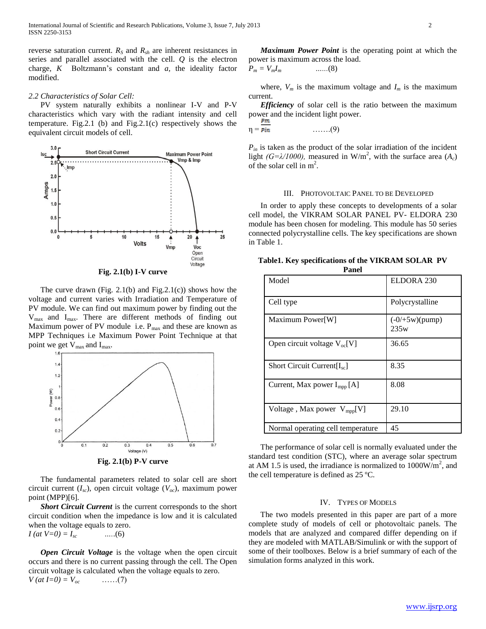reverse saturation current.  $R<sub>S</sub>$  and  $R<sub>sh</sub>$  are inherent resistances in series and parallel associated with the cell. *Q* is the electron charge, *K* Boltzmann"s constant and *a,* the ideality factor modified.

#### *2.2 Characteristics of Solar Cell:*

 PV system naturally exhibits a nonlinear I-V and P-V characteristics which vary with the radiant intensity and cell temperature. Fig.2.1 (b) and Fig.2.1(c) respectively shows the equivalent circuit models of cell.



**Fig. 2.1(b) I-V curve**

The curve drawn (Fig. 2.1(b) and Fig.  $2.1(c)$ ) shows how the voltage and current varies with Irradiation and Temperature of PV module. We can find out maximum power by finding out the  $V_{\text{max}}$  and  $I_{\text{max}}$ . There are different methods of finding out Maximum power of PV module i.e.  $P_{max}$  and these are known as MPP Techniques i.e Maximum Power Point Technique at that point we get  $V_{\text{max}}$  and  $I_{\text{max}}$ .



 The fundamental parameters related to solar cell are short circuit current  $(I_{sc})$ , open circuit voltage  $(V_{oc})$ , maximum power point (MPP)[6].

 *Short Circuit Current* is the current corresponds to the short circuit condition when the impedance is low and it is calculated when the voltage equals to zero.  $I (at V=0) = I_{sc}$  …..(6)

 *Open Circuit Voltage* is the voltage when the open circuit occurs and there is no current passing through the cell. The Open circuit voltage is calculated when the voltage equals to zero.  $V(at I=0) = V_{oc}$  ……(7)

 *Maximum Power Point* is the operating point at which the power is maximum across the load.

$$
P_m = V_m I_m \qquad \qquad \ldots \ldots (8)
$$

where,  $V_m$  is the maximum voltage and  $I_m$  is the maximum current.

 *Efficiency* of solar cell is the ratio between the maximum power and the incident light power.

$$
\eta = \overline{\mathbf{pin}} \qquad \qquad \ldots \ldots (9)
$$

*Pin* is taken as the product of the solar irradiation of the incident light *(G=* $\lambda$ */1000)*, measured in W/m<sup>2</sup>, with the surface area (*A<sub>c</sub>*) of the solar cell in  $m^2$ .

#### III. PHOTOVOLTAIC PANEL TO BE DEVELOPED

 In order to apply these concepts to developments of a solar cell model, the VIKRAM SOLAR PANEL PV- ELDORA 230 module has been chosen for modeling. This module has 50 series connected polycrystalline cells. The key specifications are shown in Table 1.

| Model                                   | ELDORA 230              |
|-----------------------------------------|-------------------------|
| Cell type                               | Polycrystalline         |
| Maximum Power[W]                        | $(-0/5w)(pump)$<br>235w |
| Open circuit voltage $V_{oc}[V]$        | 36.65                   |
| Short Circuit Current $[I_{sc}]$        | 8.35                    |
| Current, Max power I <sub>mpp</sub> [A] | 8.08                    |
| Voltage, Max power $V_{mpp}[V]$         | 29.10                   |
| Normal operating cell temperature       | 45                      |

**Table1. Key specifications of the VIKRAM SOLAR PV Panel**

 The performance of solar cell is normally evaluated under the standard test condition (STC), where an average solar spectrum at AM 1.5 is used, the irradiance is normalized to  $1000W/m^2$ , and the cell temperature is defined as 25 ºC.

#### IV. TYPES OF MODELS

 The two models presented in this paper are part of a more complete study of models of cell or photovoltaic panels. The models that are analyzed and compared differ depending on if they are modeled with MATLAB/Simulink or with the support of some of their toolboxes. Below is a brief summary of each of the simulation forms analyzed in this work.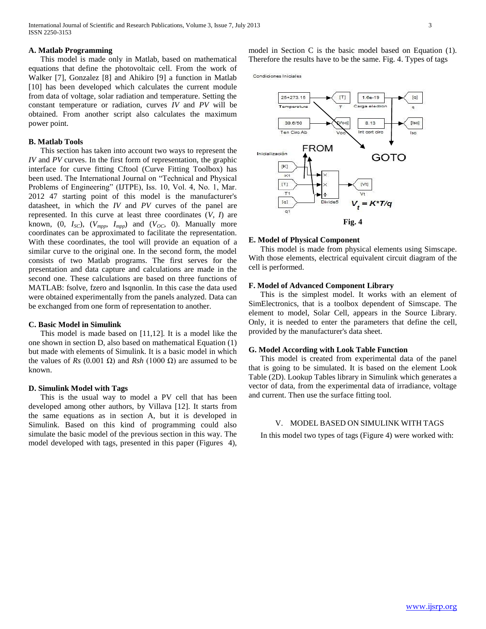## **A. Matlab Programming**

 This model is made only in Matlab, based on mathematical equations that define the photovoltaic cell. From the work of Walker [7], Gonzalez [8] and Ahikiro [9] a function in Matlab [10] has been developed which calculates the current module from data of voltage, solar radiation and temperature. Setting the constant temperature or radiation, curves *IV* and *PV* will be obtained. From another script also calculates the maximum power point.

## **B. Matlab Tools**

 This section has taken into account two ways to represent the *IV* and *PV* curves. In the first form of representation, the graphic interface for curve fitting Cftool (Curve Fitting Toolbox) has been used. The International Journal on "Technical and Physical Problems of Engineering" (IJTPE), Iss. 10, Vol. 4, No. 1, Mar. 2012 47 starting point of this model is the manufacturer's datasheet, in which the *IV* and *PV* curves of the panel are represented. In this curve at least three coordinates (*V*, *I*) are known,  $(0, I_{SC})$ ,  $(V_{mpp}, I_{mpp})$  and  $(V_{OC}, 0)$ . Manually more coordinates can be approximated to facilitate the representation. With these coordinates, the tool will provide an equation of a similar curve to the original one. In the second form, the model consists of two Matlab programs. The first serves for the presentation and data capture and calculations are made in the second one. These calculations are based on three functions of MATLAB: fsolve, fzero and lsqnonlin. In this case the data used were obtained experimentally from the panels analyzed. Data can be exchanged from one form of representation to another.

#### **C. Basic Model in Simulink**

 This model is made based on [11,12]. It is a model like the one shown in section D, also based on mathematical Equation (1) but made with elements of Simulink. It is a basic model in which the values of *Rs* (0.001 Ω) and *Rsh* (1000 Ω) are assumed to be known.

## **D. Simulink Model with Tags**

 This is the usual way to model a PV cell that has been developed among other authors, by Villava [12]. It starts from the same equations as in section A, but it is developed in Simulink. Based on this kind of programming could also simulate the basic model of the previous section in this way. The model developed with tags, presented in this paper (Figures 4), model in Section C is the basic model based on Equation (1). Therefore the results have to be the same. Fig. 4. Types of tags

Condiciones Iniciales



#### **E. Model of Physical Component**

 This model is made from physical elements using Simscape. With those elements, electrical equivalent circuit diagram of the cell is performed.

#### **F. Model of Advanced Component Library**

 This is the simplest model. It works with an element of SimElectronics, that is a toolbox dependent of Simscape. The element to model, Solar Cell, appears in the Source Library. Only, it is needed to enter the parameters that define the cell, provided by the manufacturer's data sheet.

## **G. Model According with Look Table Function**

 This model is created from experimental data of the panel that is going to be simulated. It is based on the element Look Table (2D). Lookup Tables library in Simulink which generates a vector of data, from the experimental data of irradiance, voltage and current. Then use the surface fitting tool.

#### V. MODEL BASED ON SIMULINK WITH TAGS

In this model two types of tags (Figure 4) were worked with: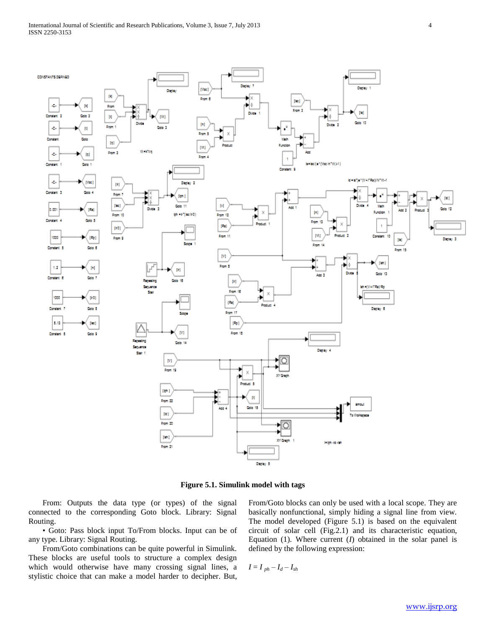M

Fron

(k)

Citie 2

**CONSTANTS DEFINED** 

k,

Constant 2





Danier

Dieb

[Voc]

Data

m

**Figure 5.1. Simulink model with tags**

 From: Outputs the data type (or types) of the signal connected to the corresponding Goto block. Library: Signal Routing.

 • Goto: Pass block input To/From blocks. Input can be of any type. Library: Signal Routing.

 From/Goto combinations can be quite powerful in Simulink. These blocks are useful tools to structure a complex design which would otherwise have many crossing signal lines, a stylistic choice that can make a model harder to decipher. But, From/Goto blocks can only be used with a local scope. They are basically nonfunctional, simply hiding a signal line from view. The model developed (Figure 5.1) is based on the equivalent circuit of solar cell (Fig.2.1) and its characteristic equation, Equation (1). Where current (*I*) obtained in the solar panel is defined by the following expression:

$$
I = I_{ph} - I_d - I_{sh}
$$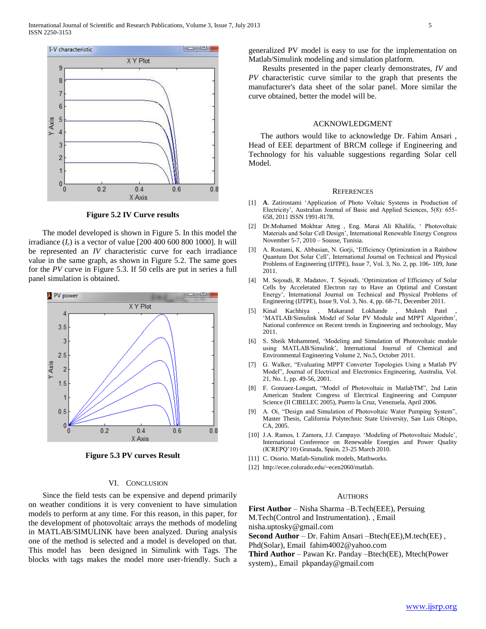

**Figure 5.2 IV Curve results**

 The model developed is shown in Figure 5. In this model the irradiance  $(I_r)$  is a vector of value  $[200 400 600 800 1000]$ . It will be represented an *IV* characteristic curve for each irradiance value in the same graph, as shown in Figure 5.2. The same goes for the *PV* curve in Figure 5.3. If 50 cells are put in series a full panel simulation is obtained.



**Figure 5.3 PV curves Result**

#### VI. CONCLUSION

 Since the field tests can be expensive and depend primarily on weather conditions it is very convenient to have simulation models to perform at any time. For this reason, in this paper, for the development of photovoltaic arrays the methods of modeling in MATLAB/SIMULINK have been analyzed. During analysis one of the method is selected and a model is developed on that. This model has been designed in Simulink with Tags. The blocks with tags makes the model more user-friendly. Such a

generalized PV model is easy to use for the implementation on Matlab/Simulink modeling and simulation platform.

 Results presented in the paper clearly demonstrates, *IV* and *PV* characteristic curve similar to the graph that presents the manufacturer's data sheet of the solar panel. More similar the curve obtained, better the model will be.

#### ACKNOWLEDGMENT

 The authors would like to acknowledge Dr. Fahim Ansari , Head of EEE department of BRCM college if Engineering and Technology for his valuable suggestions regarding Solar cell Model.

#### **REFERENCES**

- [1] **A**. Zatirostami "Application of Photo Voltaic Systems in Production of Electricity', Australian Journal of Basic and Applied Sciences, 5(8): 655-658, 2011 ISSN 1991-8178.
- [2] Dr.Mohamed Mokhtar Atteg , Eng. Marai Ali Khalifa, " Photovoltaic Materials and Solar Cell Design", International Renewable Energy Congress November 5-7, 2010 – Sousse, Tunisia.
- [3] A. Rostami, K. Abbasian, N. Gorji, "Efficiency Optimization in a Rainbow Quantum Dot Solar Cell", International Journal on Technical and Physical Problems of Engineering (IJTPE), Issue 7, Vol. 3, No. 2, pp. 106- 109, June 2011.
- [4] M. Sojoudi, R. Madatov, T. Sojoudi, "Optimization of Efficiency of Solar Cells by Accelerated Electron ray to Have an Optimal and Constant Energy", International Journal on Technical and Physical Problems of Engineering (IJTPE), Issue 9, Vol. 3, No. 4, pp. 68-71, December 2011.
- [5] Kinal Kachhiya , Makarand Lokhande , Mukesh Patel 'MATLAB/Simulink Model of Solar PV Module and MPPT Algorithm', National conference on Recent trends in Engineering and technology, May 2011.
- [6] S. Sheik Mohammed, "Modeling and Simulation of Photovoltaic module using MATLAB/Simulink", International Journal of Chemical and Environmental Engineering Volume 2, No.5, October 2011.
- [7] G. Walker, "Evaluating MPPT Converter Topologies Using a Matlab PV Model", Journal of Electrical and Electronics Engineering, Australia, Vol. 21, No. 1, pp. 49-56, 2001.
- [8] F. Gonzaez-Longatt, "Model of Photovoltaic in MatlabTM", 2nd Latin American Student Congress of Electrical Engineering and Computer Science (II CIBELEC 2005), Puerto la Cruz, Venezuela, April 2006.
- [9] A. Oi, "Design and Simulation of Photovoltaic Water Pumping System", Master Thesis, California Polytechnic State University, San Luis Obispo, CA, 2005.
- [10] J.A. Ramos, I. Zamora, J.J. Campayo. "Modeling of Photovoltaic Module", International Conference on Renewable Energies and Power Quality (ICREPQ"10) Granada, Spain, 23-25 March 2010.
- [11] C. Osorio. Matlab-Simulink models, Mathworks.
- [12] http://ecee.colorado.edu/~ecen2060/matlab.

## AUTHORS

**First Author** – Nisha Sharma –B.Tech(EEE), Persuing

M.Tech(Control and Instrumentation). , Email

nisha.uptosky@gmail.com

**Second Author** – Dr. Fahim Ansari –Btech(EE), M.tech(EE),

Phd(Solar), Email fahim4002@yahoo.com

**Third Author** – Pawan Kr. Panday –Btech(EE), Mtech(Power system)., Email pkpanday@gmail.com